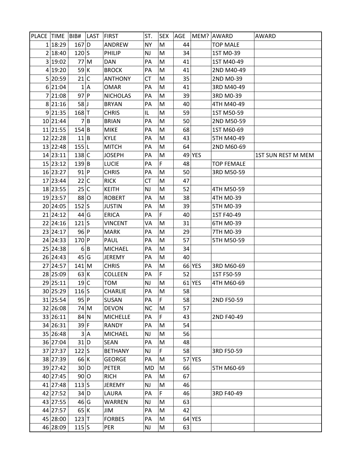| PLACE TIME BIB# |          |         | <b>LAST</b> | <b>FIRST</b>    | ST.       | <b>SEX</b> | AGE |               | MEM? AWARD        | <b>AWARD</b>       |
|-----------------|----------|---------|-------------|-----------------|-----------|------------|-----|---------------|-------------------|--------------------|
|                 | 1 18:29  | $167$ D |             | ANDREW          | <b>NY</b> | M          | 44  |               | <b>TOP MALE</b>   |                    |
|                 | 2 18:40  | $120$ S |             | PHILIP          | NJ        | M          | 34  |               | 1ST M0-39         |                    |
|                 | 3 19:02  | $77$ M  |             | <b>DAN</b>      | PA        | M          | 41  |               | 1ST M40-49        |                    |
|                 | 4 19:20  | 59K     |             | <b>BROCK</b>    | PA        | M          | 41  |               | 2ND M40-49        |                    |
|                 | 5 20:59  | 21 C    |             | <b>ANTHONY</b>  | <b>CT</b> | M          | 35  |               | 2ND M0-39         |                    |
|                 | 6 21:04  |         | 1A          | <b>OMAR</b>     | PA        | M          | 41  |               | 3RD M40-49        |                    |
|                 | 7 21:08  | $97$ P  |             | <b>NICHOLAS</b> | PA        | M          | 39  |               | 3RD M0-39         |                    |
|                 | 8 21:16  | $58$ J  |             | <b>BRYAN</b>    | PA        | M          | 40  |               | 4TH M40-49        |                    |
|                 | 9 21:35  | $168$ T |             | <b>CHRIS</b>    | IL        | M          | 59  |               | 1ST M50-59        |                    |
|                 | 10 21:44 | 7 B     |             | <b>BRIAN</b>    | PA        | M          | 50  |               | 2ND M50-59        |                    |
|                 | 11 21:55 | 154 B   |             | <b>MIKE</b>     | PA        | M          | 68  |               | 1ST M60-69        |                    |
|                 | 12 22:28 | 11 B    |             | <b>KYLE</b>     | PA        | M          | 43  |               | 5TH M40-49        |                    |
|                 | 13 22:48 | 155 L   |             | <b>MITCH</b>    | PA        | M          | 64  |               | 2ND M60-69        |                    |
|                 | 14 23:11 | $138$ C |             | <b>JOSEPH</b>   | PA        | M          |     | 49 YES        |                   | 1ST SUN REST M MEM |
|                 | 15 23:12 | 139 B   |             | <b>LUCIE</b>    | PA        | F          | 48  |               | <b>TOP FEMALE</b> |                    |
|                 | 16 23:27 | $91$ P  |             | <b>CHRIS</b>    | PA        | M          | 50  |               | 3RD M50-59        |                    |
|                 | 17 23:44 | 22 C    |             | <b>RICK</b>     | СT        | M          | 47  |               |                   |                    |
|                 | 18 23:55 | 25 C    |             | <b>KEITH</b>    | <b>NJ</b> | M          | 52  |               | 4TH M50-59        |                    |
|                 | 19 23:57 | 88 O    |             | <b>ROBERT</b>   | PA        | M          | 38  |               | 4TH M0-39         |                    |
|                 | 20 24:05 | $152$ S |             | <b>JUSTIN</b>   | PA        | M          | 39  |               | 5TH M0-39         |                    |
|                 | 21 24:12 | 44 G    |             | <b>ERICA</b>    | PA        | F          | 40  |               | 1ST F40-49        |                    |
|                 | 22 24:16 | $121$ S |             | <b>VINCENT</b>  | VA        | M          | 31  |               | 6TH M0-39         |                    |
|                 | 23 24:17 | 96 P    |             | <b>MARK</b>     | PA        | M          | 29  |               | 7TH M0-39         |                    |
|                 | 24 24:33 | 170 P   |             | PAUL            | PA        | M          | 57  |               | 5TH M50-59        |                    |
|                 | 25 24:38 | 6 B     |             | <b>MICHAEL</b>  | PA        | M          | 34  |               |                   |                    |
|                 | 26 24:43 | 45 G    |             | <b>JEREMY</b>   | PA        | M          | 40  |               |                   |                    |
|                 | 27 24:57 | 141 M   |             | <b>CHRIS</b>    | PA        | M          |     | 66 YES        | 3RD M60-69        |                    |
|                 | 28 25:09 | 63K     |             | <b>COLLEEN</b>  | PA        | F          | 52  |               | 1ST F50-59        |                    |
|                 | 29 25:11 | 19 C    |             | <b>TOM</b>      | NJ        | M          |     | 61 YES        | 4TH M60-69        |                    |
|                 | 30 25:29 | $116$ S |             | <b>CHARLIE</b>  | PA        | M          | 58  |               |                   |                    |
|                 | 31 25:54 | 95 P    |             | SUSAN           | PA        | F          | 58  |               | 2ND F50-59        |                    |
|                 | 32 26:08 | 74 M    |             | <b>DEVON</b>    | <b>NC</b> | M          | 57  |               |                   |                    |
|                 | 33 26:11 | 84 N    |             | <b>MICHELLE</b> | PA        | F          | 43  |               | 2ND F40-49        |                    |
|                 | 34 26:31 | $39$ F  |             | <b>RANDY</b>    | PA        | M          | 54  |               |                   |                    |
|                 | 35 26:48 |         | 3A          | <b>MICHAEL</b>  | <b>NJ</b> | M          | 56  |               |                   |                    |
|                 | 36 27:04 | $31$ D  |             | <b>SEAN</b>     | PA        | M          | 48  |               |                   |                    |
|                 | 37 27:37 | 122 S   |             | <b>BETHANY</b>  | NJ.       | F          | 58  |               | 3RD F50-59        |                    |
|                 | 38 27:39 | 66K     |             | <b>GEORGE</b>   | PA        | M          |     | <b>57 YES</b> |                   |                    |
|                 | 39 27:42 | $30$ D  |             | <b>PETER</b>    | <b>MD</b> | M          | 66  |               | 5TH M60-69        |                    |
|                 | 40 27:45 | $90$ O  |             | <b>RICH</b>     | PA        | M          | 67  |               |                   |                    |
|                 | 41 27:48 | $113$ S |             | <b>JEREMY</b>   | NJ        | M          | 46  |               |                   |                    |
|                 | 42 27:52 | $34$ D  |             | LAURA           | PA        | F          | 46  |               | 3RD F40-49        |                    |
|                 | 43 27:55 | 46 G    |             | <b>WARREN</b>   | NJ        | M          | 63  |               |                   |                    |
|                 | 44 27:57 | $65$ K  |             | JIM             | PA        | M          | 42  |               |                   |                    |
|                 | 45 28:00 | $123$ T |             | <b>FORBES</b>   | PA        | M          |     | 64 YES        |                   |                    |
|                 | 46 28:09 | 115S    |             | PER             | <b>NJ</b> | M          | 63  |               |                   |                    |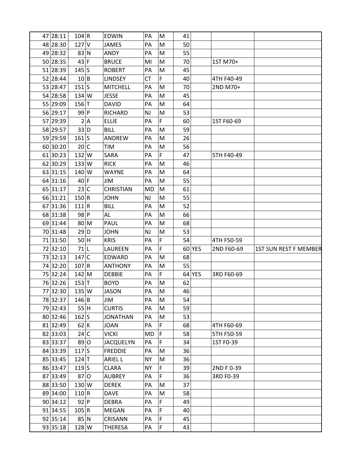| 47 28:11             | $104$ R           | <b>EDWIN</b>              | PA        | M      | 41       |        |            |                       |
|----------------------|-------------------|---------------------------|-----------|--------|----------|--------|------------|-----------------------|
| 48 28:30             | 127 V             | <b>JAMES</b>              | PA        | M      | 50       |        |            |                       |
| 49 28:32             | 83 N              | ANDY                      | PA        | M      | 55       |        |            |                       |
| 50 28:35             | $43$ F            | <b>BRUCE</b>              | MI        | M      | 70       |        | 1ST M70+   |                       |
| 51 28:39             | $145$ S           | <b>ROBERT</b>             | PA        | M      | 45       |        |            |                       |
| 52 28:44             | 10 B              | <b>LINDSEY</b>            | <b>CT</b> | F      | 40       |        | 4TH F40-49 |                       |
| 53 28:47             | $151$ S           | <b>MITCHELL</b>           | PA        | M      | 70       |        | 2ND M70+   |                       |
| 54 28:58             | 134 W             | <b>JESSE</b>              | PA        | M      | 45       |        |            |                       |
| 55 29:09             | $156$ T           | <b>DAVID</b>              | PA        | M      | 64       |        |            |                       |
| 56 29:17             | $99$ P            | RICHARD                   | <b>NJ</b> | M      | 53       |        |            |                       |
| 57 29:39             | 2 A               | <b>ELLIE</b>              | PA        | F      | 60       |        | 1ST F60-69 |                       |
| 58 29:57             | 33 D              | <b>BILL</b>               | PA        | M      | 59       |        |            |                       |
| 59 29:59             | $161$ S           | ANDREW                    | PA        | M      | 26       |        |            |                       |
| 60 30:20             | 20C               | TIM                       | PA        | M      | 56       |        |            |                       |
| 61 30:23             | $132$ W           | SARA                      | PA        | F      | 47       |        | 5TH F40-49 |                       |
| 62 30:29             | $133$ W           | <b>RICK</b>               | PA        | M      | 46       |        |            |                       |
| 63 31:15             | 140 W             | <b>WAYNE</b>              | PA        | M      | 64       |        |            |                       |
| 64 31:16             | 40 F              | <b>JIM</b>                | PA        | M      | 55       |        |            |                       |
| 65 31:17             | 23 C              | <b>CHRISTIAN</b>          | <b>MD</b> | M      | 61       |        |            |                       |
| 66 31:21             | 150 R             | <b>JOHN</b>               | <b>NJ</b> | M      | 55       |        |            |                       |
| 67 31:36             | 111 R             | <b>BILL</b>               | PA        | M      | 52       |        |            |                       |
| 68 31:38             | $98$ P            | AL                        | PA        | M      | 66       |        |            |                       |
| 69 31:44             | $80$ M            | PAUL                      | PA        | M      | 68       |        |            |                       |
| 70 31:48             | $29$ D            | <b>JOHN</b>               | <b>NJ</b> | M      | 53       |        |            |                       |
| 71 31:50             | 50H               | <b>KRIS</b>               | PA        | F      | 54       |        | 4TH F50-59 |                       |
| 72 32:10             | $71$  L           | LAUREEN                   | PA        | F      |          | 60 YES | 2ND F60-69 | 1ST SUN REST F MEMBER |
| 73 32:13             | 147C              | <b>EDWARD</b>             | РA        | M      | 68       |        |            |                       |
| 74 32:20             | 107R              | <b>ANTHONY</b>            | PA        | M      | 55       |        |            |                       |
| 75 32:24             | 142 M             | <b>DEBBIE</b>             | PA        | F      |          | 64 YES | 3RD F60-69 |                       |
| 76 32:26             | $153$ T           | <b>BOYD</b>               | PA        | M      | 62       |        |            |                       |
| 7732:30              | $135$ W           | <b>JASON</b>              | PA        | M      | 46       |        |            |                       |
| 78 32:37             | 146 B             | JIM                       | PA        | M      | 54       |        |            |                       |
| 79 32:43             | 55H               | <b>CURTIS</b>             | PA        | M      | 59       |        |            |                       |
| 80 32:46             | $162$ S           | <b>JONATHAN</b>           | PA        | M      | 53       |        |            |                       |
| 81 32:49             | $62$ <sup>K</sup> | <b>JOAN</b>               | PA        | F      | 68       |        | 4TH F60-69 |                       |
| 82 33:03             | $24$ C            | <b>VICKI</b>              | <b>MD</b> | F      | 58       |        | 5TH F50-59 |                       |
| 83 33:37             | 89 O              | <b>JACQUELYN</b>          | PA        | F      | 34       |        | 1ST F0-39  |                       |
| 84 33:39             | 117S              | <b>FREDDIE</b>            | PA        | M      | 36       |        |            |                       |
| 85 33:45             | $124$ T           | ARIEL L                   | <b>NY</b> | M      | 36       |        |            |                       |
|                      | $119$ S           | <b>CLARA</b>              | <b>NY</b> | F      | 39       |        | 2ND F 0-39 |                       |
| 86 33:47             |                   |                           |           |        |          |        |            |                       |
| 87 33:49             | $87$ O            | <b>AUBREY</b>             | PA        | F      | 36       |        | 3RD F0-39  |                       |
| 88 33:50             | $130\vert W$      | <b>DEREK</b>              | PA        | M      | 37       |        |            |                       |
| 89 34:00             | 110 R             | <b>DAVE</b>               | PA        | M      | 58       |        |            |                       |
| 90 34:12             | $92$ P            | <b>DEBRA</b>              | PA        | F      | 49       |        |            |                       |
| 91 34:55             | 105 R             | MEGAN                     | PA        | F      | 40       |        |            |                       |
| 92 35:14<br>93 35:18 | 85 N<br>$128$ W   | CRISANN<br><b>THERESA</b> | PA<br>PA  | F<br>F | 45<br>43 |        |            |                       |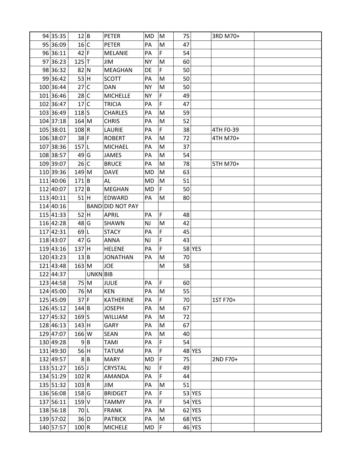| 94 35:35  | 12 B            |          | <b>PETER</b>            | <b>MD</b> | M  | 75 |        | 3RD M70+  |  |
|-----------|-----------------|----------|-------------------------|-----------|----|----|--------|-----------|--|
| 95 36:09  | 16 C            |          | <b>PETER</b>            | PA        | M  | 47 |        |           |  |
| 96 36:11  | $42$ F          |          | <b>MELANIE</b>          | PA        | F. | 54 |        |           |  |
| 97 36:23  | $125$ T         |          | <b>JIM</b>              | NY        | M  | 60 |        |           |  |
| 98 36:32  | 82 N            |          | MEAGHAN                 | DE        | F  | 50 |        |           |  |
| 99 36:42  | 53H             |          | <b>SCOTT</b>            | PA        | M  | 50 |        |           |  |
| 100 36:44 | 27C             |          | <b>DAN</b>              | <b>NY</b> | M  | 50 |        |           |  |
| 101 36:46 | 28C             |          | <b>MICHELLE</b>         | <b>NY</b> | F  | 49 |        |           |  |
| 102 36:47 | 17 C            |          | <b>TRICIA</b>           | PA        | F  | 47 |        |           |  |
| 103 36:49 | $118$ S         |          | <b>CHARLES</b>          | PA        | M  | 59 |        |           |  |
| 104 37:18 | $164$ M         |          | <b>CHRIS</b>            | PA        | M  | 52 |        |           |  |
| 105 38:01 | 108 R           |          | LAURIE                  | PA        | F  | 38 |        | 4TH F0-39 |  |
| 106 38:07 | $38$ F          |          | <b>ROBERT</b>           | PA        | M  | 72 |        | 4TH M70+  |  |
| 107 38:36 | $157$ L         |          | <b>MICHAEL</b>          | PA        | M  | 37 |        |           |  |
| 108 38:57 | 49 G            |          | <b>JAMES</b>            | PA        | M  | 54 |        |           |  |
| 109 39:07 | 26 C            |          | <b>BRUCE</b>            | PA        | M  | 78 |        | 5TH M70+  |  |
| 110 39:36 | 149 M           |          | <b>DAVE</b>             | <b>MD</b> | M  | 63 |        |           |  |
| 111 40:06 | $171$ B         |          | AL                      | <b>MD</b> | M  | 51 |        |           |  |
| 112 40:07 | 172 B           |          | <b>MEGHAN</b>           | <b>MD</b> | F  | 50 |        |           |  |
| 113 40:11 | $51$ H          |          | EDWARD                  | PA        | M  | 80 |        |           |  |
| 114 40:16 |                 |          | <b>BANDIDID NOT PAY</b> |           |    |    |        |           |  |
| 115 41:33 | 52H             |          | <b>APRIL</b>            | PA        | F  | 48 |        |           |  |
| 116 42:28 | $48$ G          |          | SHAWN                   | NJ        | M  | 42 |        |           |  |
| 117 42:31 | 69L             |          | <b>STACY</b>            | PA        | F  | 45 |        |           |  |
| 118 43:07 | 47 <sub>6</sub> |          | <b>ANNA</b>             | NJ        | F  | 43 |        |           |  |
| 119 43:16 | 137H            |          | <b>HELENE</b>           | PA        | F  |    | 58 YES |           |  |
| 120 43:23 | 13 B            |          | <b>JONATHAN</b>         | PA        | M  | 70 |        |           |  |
| 121 43:48 | 163 M           |          | <b>JOE</b>              |           | M  | 58 |        |           |  |
| 122 44:37 |                 | UNKN BIB |                         |           |    |    |        |           |  |
| 123 44:58 | 75 M            |          | <b>JULIE</b>            | PA        | F  | 60 |        |           |  |
| 124 45:00 | 76 M            |          | <b>KEN</b>              | PA        | M  | 55 |        |           |  |
| 125 45:09 | $37$ F          |          | <b>KATHERINE</b>        | PA        | F  | 70 |        | 1ST F70+  |  |
| 126 45:12 | $144$ B         |          | <b>JOSEPH</b>           | PA        | M  | 67 |        |           |  |
| 127 45:32 | $169$ S         |          | <b>WILLIAM</b>          | PA        | M  | 72 |        |           |  |
| 128 46:13 | $143$ H         |          | <b>GARY</b>             | PA        | M  | 67 |        |           |  |
| 129 47:07 | 166 W           |          | <b>SEAN</b>             | PA        | M  | 40 |        |           |  |
| 130 49:28 |                 | 9 B      | <b>TAMI</b>             | PA        | F  | 54 |        |           |  |
| 131 49:30 | 56 H            |          | <b>TATUM</b>            | PA        | F  |    | 48 YES |           |  |
| 132 49:57 |                 | 8 B      | <b>MARY</b>             | MD        | F  | 75 |        | 2ND F70+  |  |
| 133 51:27 | $165$ J         |          | CRYSTAL                 | <b>NJ</b> | F  | 49 |        |           |  |
| 134 51:29 | 102 R           |          | AMANDA                  | PA        | F  | 44 |        |           |  |
| 135 51:32 | 103 R           |          | JIM                     | PA        | M  | 51 |        |           |  |
| 136 56:08 | $158$ G         |          | <b>BRIDGET</b>          | PA        | F  |    | 53 YES |           |  |
| 137 56:11 | 159 V           |          | <b>TAMMY</b>            | PA        | F  |    | 54 YES |           |  |
| 138 56:18 | $70$ L          |          | <b>FRANK</b>            | PA        | M  |    | 62 YES |           |  |
| 139 57:02 | $36$ D          |          | <b>PATRICK</b>          | PA        | M  |    | 68 YES |           |  |
| 140 57:57 | 100 R           |          | <b>MICHELE</b>          | MD        | F  |    | 46 YES |           |  |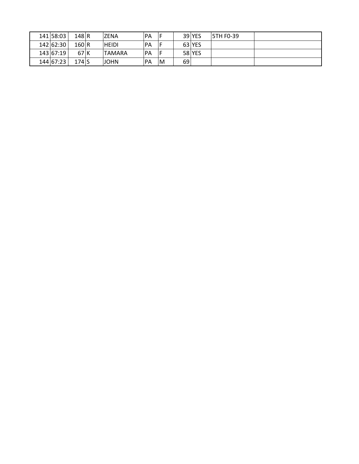| 141 58:03 | 148 R   | <b>ZENA</b>   | <b>PA</b> |   |    | 39 YES | <b>ISTH F0-39</b> |  |
|-----------|---------|---------------|-----------|---|----|--------|-------------------|--|
| 142 62:30 | 160 R   | <b>HEIDI</b>  | PA        |   |    | 63 YES |                   |  |
| 143 67:19 | 67 K    | <b>TAMARA</b> | PA        |   |    | 58 YES |                   |  |
| 144 67:23 | $174$ S | <b>JOHN</b>   | <b>PA</b> | M | 69 |        |                   |  |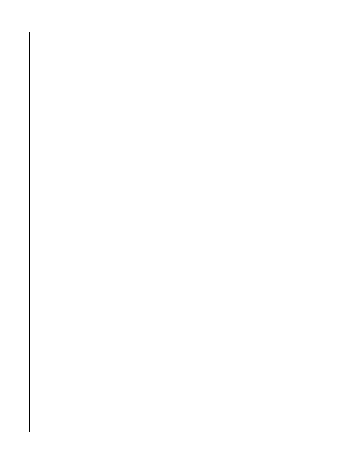